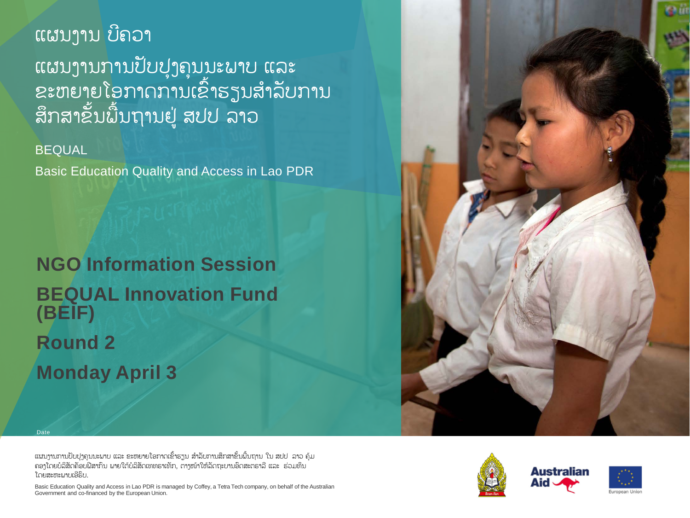# ແຜນງານ ບີຄວາ ແຜນງານການປັບປຸງຄຸນນະພາບ ແລະ ຂະຫຍາຍໂອກາດການເຂົ້າຮຽນສໍາລັບການ ສຶກສາຂັ້ນພື້ນຖານຢູ່ ສປປ ລາວ

BEQUAL

Dat

Basic Education Quality and Access in Lao PDR

**NGO Information Session BEQUAL Innovation Fund (BEIF) Round 2 Monday April 3**

ແຜນງານການປັບປຸງຄຸນນະພາບ ແລະ ຂະຫຍາຍໂອກາດເຂົ້າຮຽນ ສໍາລັບການສຶກສາຂັ້ນພື້ນຖານ ໃນ ສປປ ລາວ ຄຸ້ມ ຄອງໂດຍບໍລິສັດຄັອບຟີສາກົນ ພາຍໃຕ້ບໍລິສັດເທທຣາເທັກ, ຕາງໜ້າໃຫ້ລັດຖະບານອົດສະຕຣາລີແລະ ຮ່ວມທຶນ ໂດຍສະຫະພາບເອີຣົບ.

Basic Education Quality and Access in Lao PDR is managed by Coffey, a Tetra Tech company, on behalf of the Australian Government and co-financed by the European Union.



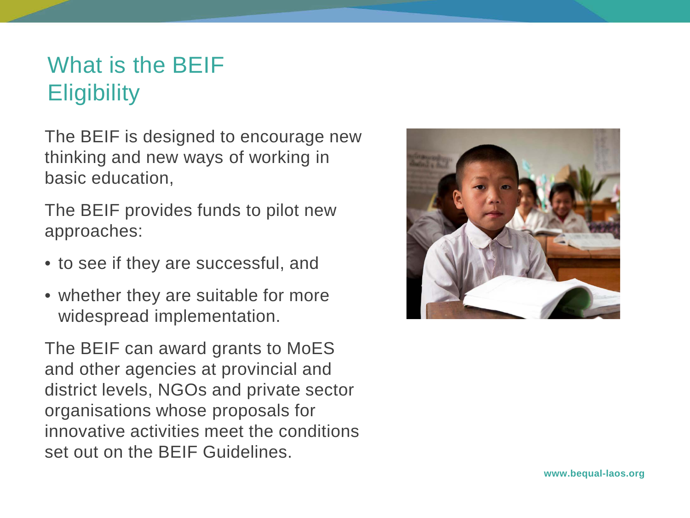# What is the BEIF **Eligibility**

The BEIF is designed to encourage new thinking and new ways of working in basic education,

The BEIF provides funds to pilot new approaches:

- to see if they are successful, and
- whether they are suitable for more widespread implementation.

The BEIF can award grants to MoES and other agencies at provincial and district levels, NGOs and private sector organisations whose proposals for innovative activities meet the conditions set out on the BEIF Guidelines.

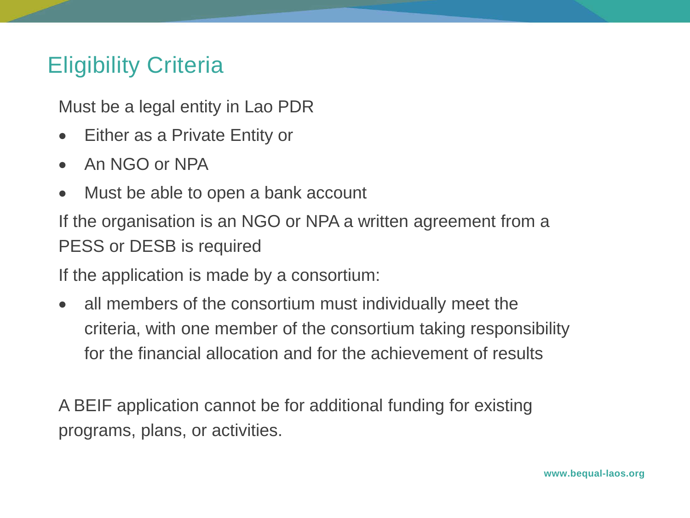#### Eligibility Criteria

Must be a legal entity in Lao PDR

- Either as a Private Entity or
- An NGO or NPA
- Must be able to open a bank account

If the organisation is an NGO or NPA a written agreement from a PESS or DESB is required

If the application is made by a consortium:

• all members of the consortium must individually meet the criteria, with one member of the consortium taking responsibility for the financial allocation and for the achievement of results

A BEIF application cannot be for additional funding for existing programs, plans, or activities.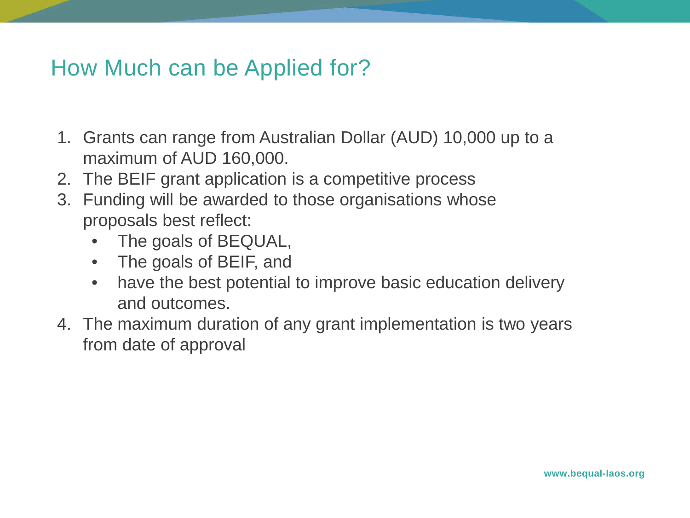#### How Much can be Applied for?

- 1. Grants can range from Australian Dollar (AUD) 10,000 up to a maximum of AUD 160,000.
- 2. The BEIF grant application is a competitive process
- 3. Funding will be awarded to those organisations whose proposals best reflect:
	- The goals of BEQUAL,
	- The goals of BEIF, and
	- have the best potential to improve basic education delivery and outcomes.
- 4. The maximum duration of any grant implementation is two years from date of approval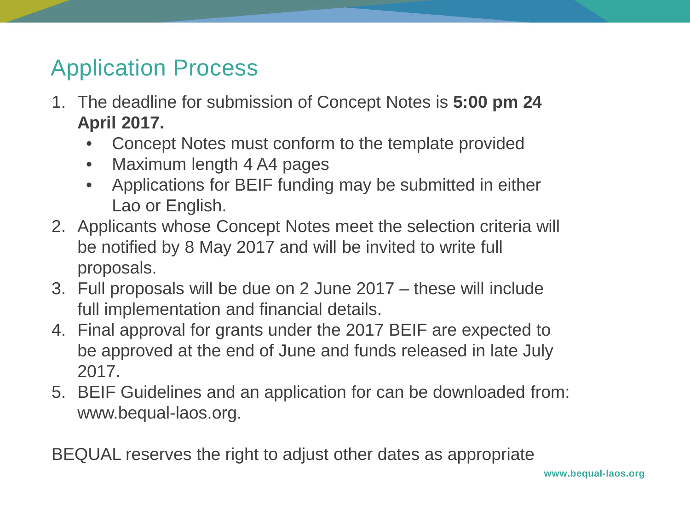# Application Process

- 1. The deadline for submission of Concept Notes is **5:00 pm 24 April 2017.**
	- Concept Notes must conform to the template provided
	- Maximum length 4 A4 pages
	- Applications for BEIF funding may be submitted in either Lao or English.
- 2. Applicants whose Concept Notes meet the selection criteria will be notified by 8 May 2017 and will be invited to write full proposals.
- 3. Full proposals will be due on 2 June 2017 these will include full implementation and financial details.
- 4. Final approval for grants under the 2017 BEIF are expected to be approved at the end of June and funds released in late July 2017.
- 5. BEIF Guidelines and an application for can be downloaded from: www.bequal-laos.org.

BEQUAL reserves the right to adjust other dates as appropriate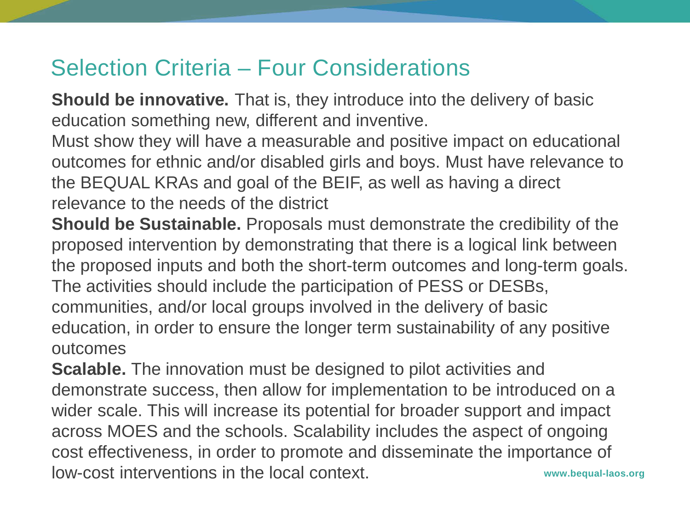### Selection Criteria – Four Considerations

**Should be innovative.** That is, they introduce into the delivery of basic education something new, different and inventive.

Must show they will have a measurable and positive impact on educational outcomes for ethnic and/or disabled girls and boys. Must have relevance to the BEQUAL KRAs and goal of the BEIF, as well as having a direct relevance to the needs of the district

**Should be Sustainable.** Proposals must demonstrate the credibility of the proposed intervention by demonstrating that there is a logical link between the proposed inputs and both the short-term outcomes and long-term goals. The activities should include the participation of PESS or DESBs, communities, and/or local groups involved in the delivery of basic education, in order to ensure the longer term sustainability of any positive outcomes

**www.bequal-laos.org Scalable.** The innovation must be designed to pilot activities and demonstrate success, then allow for implementation to be introduced on a wider scale. This will increase its potential for broader support and impact across MOES and the schools. Scalability includes the aspect of ongoing cost effectiveness, in order to promote and disseminate the importance of low-cost interventions in the local context.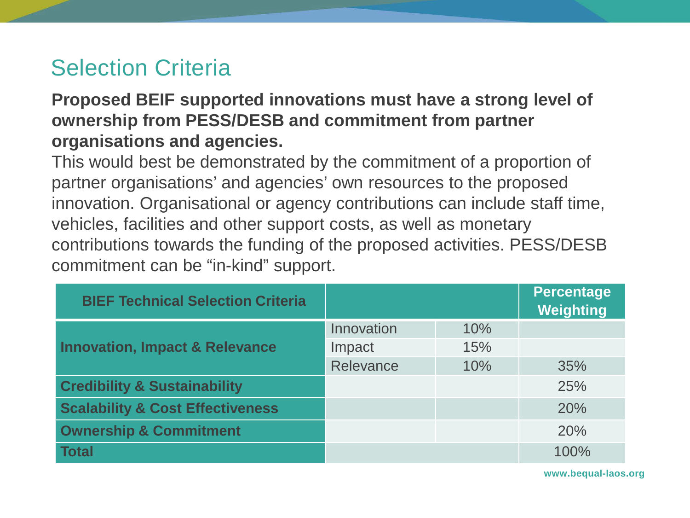### Selection Criteria

#### **Proposed BEIF supported innovations must have a strong level of ownership from PESS/DESB and commitment from partner organisations and agencies.**

This would best be demonstrated by the commitment of a proportion of partner organisations' and agencies' own resources to the proposed innovation. Organisational or agency contributions can include staff time, vehicles, facilities and other support costs, as well as monetary contributions towards the funding of the proposed activities. PESS/DESB commitment can be "in-kind" support.

| <b>BIEF Technical Selection Criteria</b>    |            |     | <b>Percentage</b><br>Weighting |
|---------------------------------------------|------------|-----|--------------------------------|
| <b>Innovation, Impact &amp; Relevance</b>   | Innovation | 10% |                                |
|                                             | Impact     | 15% |                                |
|                                             | Relevance  | 10% | 35%                            |
| <b>Credibility &amp; Sustainability</b>     |            |     | 25%                            |
| <b>Scalability &amp; Cost Effectiveness</b> |            |     | 20%                            |
| <b>Ownership &amp; Commitment</b>           |            |     | 20%                            |
| <b>Total</b>                                |            |     | 100%                           |

**www.bequal-laos.org**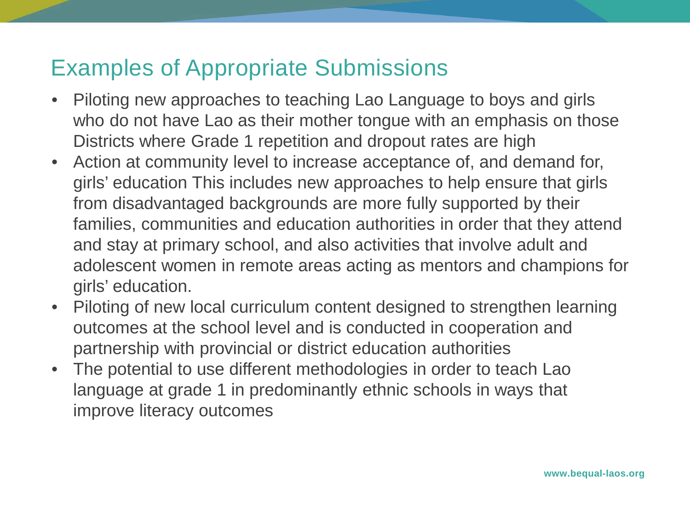## Examples of Appropriate Submissions

- Piloting new approaches to teaching Lao Language to boys and girls who do not have Lao as their mother tongue with an emphasis on those Districts where Grade 1 repetition and dropout rates are high
- Action at community level to increase acceptance of, and demand for, girls' education This includes new approaches to help ensure that girls from disadvantaged backgrounds are more fully supported by their families, communities and education authorities in order that they attend and stay at primary school, and also activities that involve adult and adolescent women in remote areas acting as mentors and champions for girls' education.
- Piloting of new local curriculum content designed to strengthen learning outcomes at the school level and is conducted in cooperation and partnership with provincial or district education authorities
- The potential to use different methodologies in order to teach Lao language at grade 1 in predominantly ethnic schools in ways that improve literacy outcomes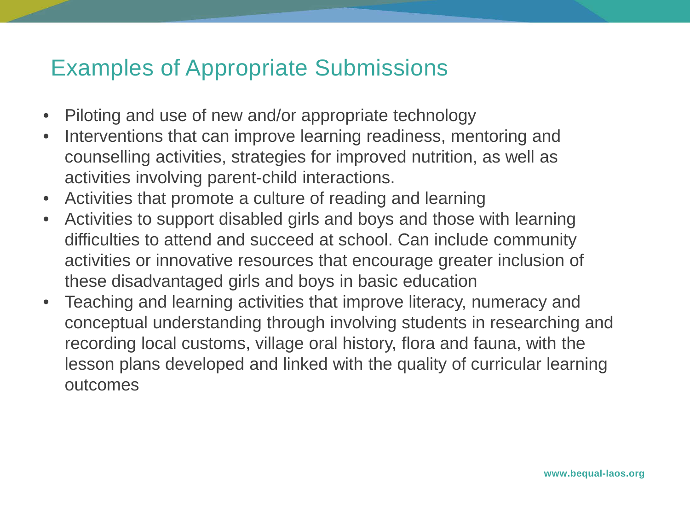#### Examples of Appropriate Submissions

- Piloting and use of new and/or appropriate technology
- Interventions that can improve learning readiness, mentoring and counselling activities, strategies for improved nutrition, as well as activities involving parent-child interactions.
- Activities that promote a culture of reading and learning
- Activities to support disabled girls and boys and those with learning difficulties to attend and succeed at school. Can include community activities or innovative resources that encourage greater inclusion of these disadvantaged girls and boys in basic education
- Teaching and learning activities that improve literacy, numeracy and conceptual understanding through involving students in researching and recording local customs, village oral history, flora and fauna, with the lesson plans developed and linked with the quality of curricular learning outcomes